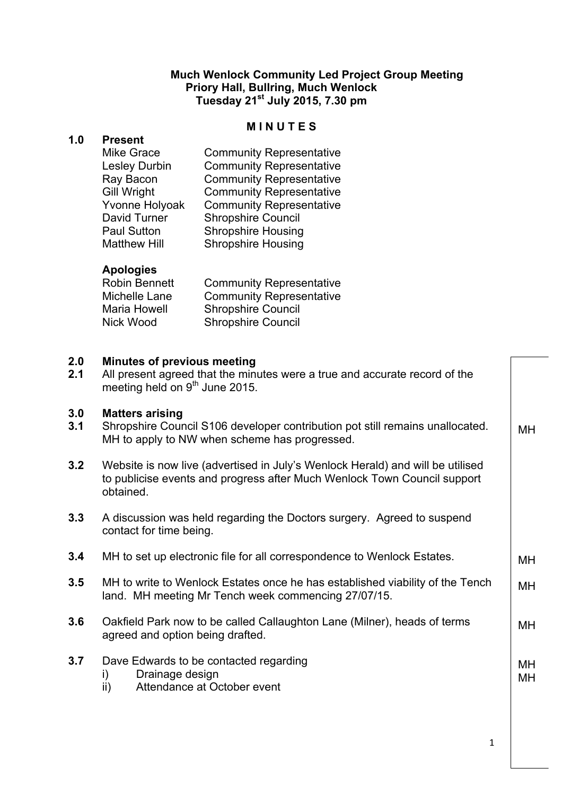# **Much Wenlock Community Led Project Group Meeting Priory Hall, Bullring, Much Wenlock Tuesday 21st July 2015, 7.30 pm**

#### **M I N U T E S**

# **1.0 Present**

| <b>Mike Grace</b>    | <b>Community Representative</b> |
|----------------------|---------------------------------|
| <b>Lesley Durbin</b> | <b>Community Representative</b> |
| Ray Bacon            | <b>Community Representative</b> |
| <b>Gill Wright</b>   | <b>Community Representative</b> |
| Yvonne Holyoak       | <b>Community Representative</b> |
| David Turner         | <b>Shropshire Council</b>       |
| <b>Paul Sutton</b>   | <b>Shropshire Housing</b>       |
| <b>Matthew Hill</b>  | <b>Shropshire Housing</b>       |

# **Apologies**

| Robin Bennett | <b>Community Representative</b> |
|---------------|---------------------------------|
| Michelle Lane | <b>Community Representative</b> |
| Maria Howell  | <b>Shropshire Council</b>       |
| Nick Wood     | <b>Shropshire Council</b>       |

#### **2.0 Minutes of previous meeting**

| 2.1 | All present agreed that the minutes were a true and accurate record of the |
|-----|----------------------------------------------------------------------------|
|     | meeting held on 9 <sup>th</sup> June 2015.                                 |

#### **3.0 Matters arising**

- **3.1** Shropshire Council S106 developer contribution pot still remains unallocated. MH to apply to NW when scheme has progressed. MH
- **3.2** Website is now live (advertised in July's Wenlock Herald) and will be utilised to publicise events and progress after Much Wenlock Town Council support obtained.
- **3.3** A discussion was held regarding the Doctors surgery. Agreed to suspend contact for time being.
- **3.4** MH to set up electronic file for all correspondence to Wenlock Estates.
- **3.5** MH to write to Wenlock Estates once he has established viability of the Tench land. MH meeting Mr Tench week commencing 27/07/15. MH
- **3.6** Oakfield Park now to be called Callaughton Lane (Milner), heads of terms agreed and option being drafted.
- **3.7** Dave Edwards to be contacted regarding
	- i) Drainage design
	- ii) Attendance at October event

1

MH

MH

MH MH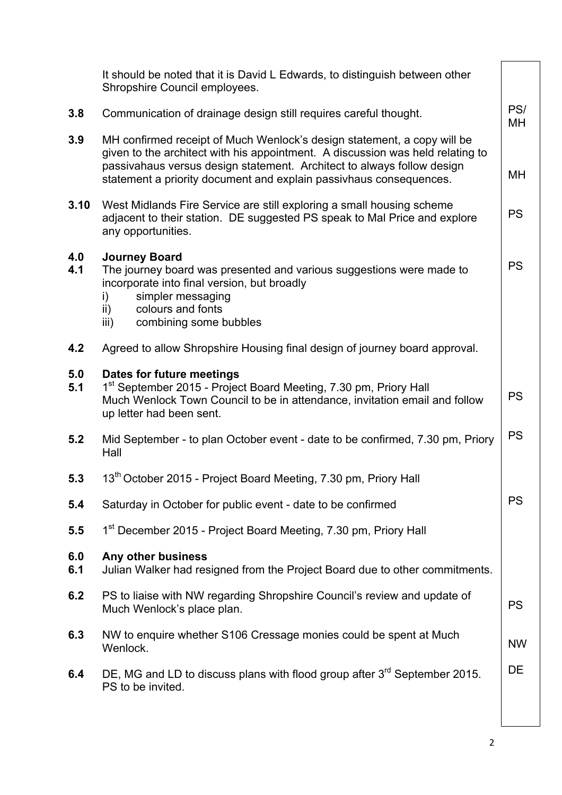|            | It should be noted that it is David L Edwards, to distinguish between other<br>Shropshire Council employees.                                                                                                                                                                                              |           |
|------------|-----------------------------------------------------------------------------------------------------------------------------------------------------------------------------------------------------------------------------------------------------------------------------------------------------------|-----------|
| 3.8        | Communication of drainage design still requires careful thought.                                                                                                                                                                                                                                          | PS/<br>MН |
| 3.9        | MH confirmed receipt of Much Wenlock's design statement, a copy will be<br>given to the architect with his appointment. A discussion was held relating to<br>passivahaus versus design statement. Architect to always follow design<br>statement a priority document and explain passivhaus consequences. | MН        |
| 3.10       | West Midlands Fire Service are still exploring a small housing scheme<br>adjacent to their station. DE suggested PS speak to Mal Price and explore<br>any opportunities.                                                                                                                                  | <b>PS</b> |
| 4.0<br>4.1 | <b>Journey Board</b><br>The journey board was presented and various suggestions were made to<br>incorporate into final version, but broadly<br>simpler messaging<br>i)<br>colours and fonts<br>$\mathsf{ii}$<br>combining some bubbles<br>iii)                                                            | <b>PS</b> |
| 4.2        | Agreed to allow Shropshire Housing final design of journey board approval.                                                                                                                                                                                                                                |           |
| 5.0<br>5.1 | Dates for future meetings<br>1 <sup>st</sup> September 2015 - Project Board Meeting, 7.30 pm, Priory Hall<br>Much Wenlock Town Council to be in attendance, invitation email and follow<br>up letter had been sent.                                                                                       | <b>PS</b> |
| 5.2        | Mid September - to plan October event - date to be confirmed, 7.30 pm, Priory<br>Hall                                                                                                                                                                                                                     | <b>PS</b> |
| 5.3        | 13 <sup>th</sup> October 2015 - Project Board Meeting, 7.30 pm, Priory Hall                                                                                                                                                                                                                               |           |
| 5.4        | Saturday in October for public event - date to be confirmed                                                                                                                                                                                                                                               | <b>PS</b> |
| 5.5        | 1 <sup>st</sup> December 2015 - Project Board Meeting, 7.30 pm, Priory Hall                                                                                                                                                                                                                               |           |
| 6.0<br>6.1 | Any other business<br>Julian Walker had resigned from the Project Board due to other commitments.                                                                                                                                                                                                         |           |
| 6.2        | PS to liaise with NW regarding Shropshire Council's review and update of<br>Much Wenlock's place plan.                                                                                                                                                                                                    | <b>PS</b> |
| 6.3        | NW to enquire whether S106 Cressage monies could be spent at Much<br>Wenlock.                                                                                                                                                                                                                             | <b>NW</b> |
| 6.4        | DE, MG and LD to discuss plans with flood group after $3rd$ September 2015.<br>PS to be invited.                                                                                                                                                                                                          | DE        |